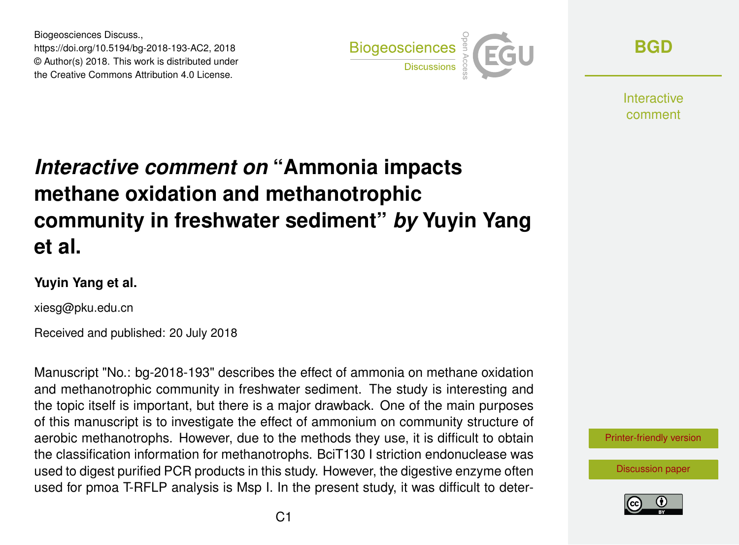Biogeosciences Discuss., https://doi.org/10.5194/bg-2018-193-AC2, 2018 © Author(s) 2018. This work is distributed under the Creative Commons Attribution 4.0 License.



**[BGD](https://www.biogeosciences-discuss.net/)**

**Interactive** comment

## *Interactive comment on* **"Ammonia impacts methane oxidation and methanotrophic community in freshwater sediment"** *by* **Yuyin Yang et al.**

## **Yuyin Yang et al.**

xiesg@pku.edu.cn

Received and published: 20 July 2018

Manuscript "No.: bg-2018-193" describes the effect of ammonia on methane oxidation and methanotrophic community in freshwater sediment. The study is interesting and the topic itself is important, but there is a major drawback. One of the main purposes of this manuscript is to investigate the effect of ammonium on community structure of aerobic methanotrophs. However, due to the methods they use, it is difficult to obtain the classification information for methanotrophs. BciT130 I striction endonuclease was used to digest purified PCR products in this study. However, the digestive enzyme often used for pmoa T-RFLP analysis is Msp I. In the present study, it was difficult to deter-



[Discussion paper](https://www.biogeosciences-discuss.net/bg-2018-193)

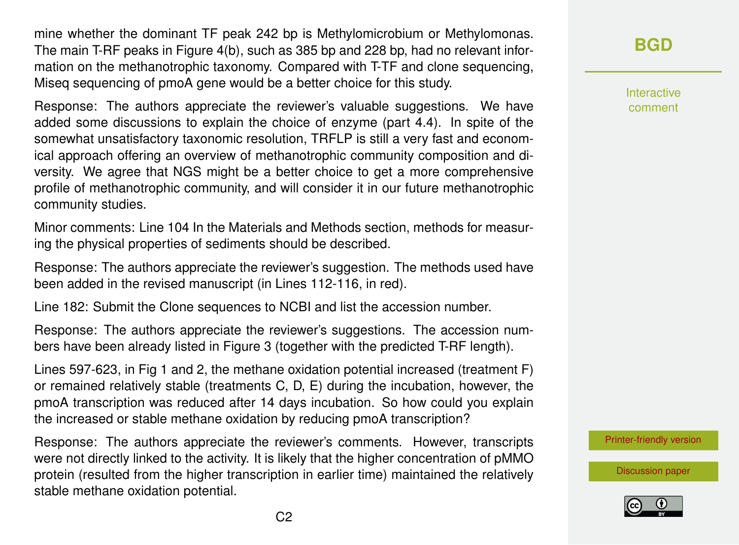mine whether the dominant TF peak 242 bp is Methylomicrobium or Methylomonas. The main T-RF peaks in Figure 4(b), such as 385 bp and 228 bp, had no relevant information on the methanotrophic taxonomy. Compared with T-TF and clone sequencing, Miseq sequencing of pmoA gene would be a better choice for this study.

Response: The authors appreciate the reviewer's valuable suggestions. We have added some discussions to explain the choice of enzyme (part 4.4). In spite of the somewhat unsatisfactory taxonomic resolution, TRFLP is still a very fast and economical approach offering an overview of methanotrophic community composition and diversity. We agree that NGS might be a better choice to get a more comprehensive profile of methanotrophic community, and will consider it in our future methanotrophic community studies.

Minor comments: Line 104 In the Materials and Methods section, methods for measuring the physical properties of sediments should be described.

Response: The authors appreciate the reviewer's suggestion. The methods used have been added in the revised manuscript (in Lines 112-116, in red).

Line 182: Submit the Clone sequences to NCBI and list the accession number.

Response: The authors appreciate the reviewer's suggestions. The accession numbers have been already listed in Figure 3 (together with the predicted T-RF length).

Lines 597-623, in Fig 1 and 2, the methane oxidation potential increased (treatment F) or remained relatively stable (treatments C, D, E) during the incubation, however, the pmoA transcription was reduced after 14 days incubation. So how could you explain the increased or stable methane oxidation by reducing pmoA transcription?

Response: The authors appreciate the reviewer's comments. However, transcripts were not directly linked to the activity. It is likely that the higher concentration of pMMO protein (resulted from the higher transcription in earlier time) maintained the relatively stable methane oxidation potential.

**[BGD](https://www.biogeosciences-discuss.net/)**

Interactive comment

[Printer-friendly version](https://www.biogeosciences-discuss.net/bg-2018-193/bg-2018-193-AC2-print.pdf)

[Discussion paper](https://www.biogeosciences-discuss.net/bg-2018-193)